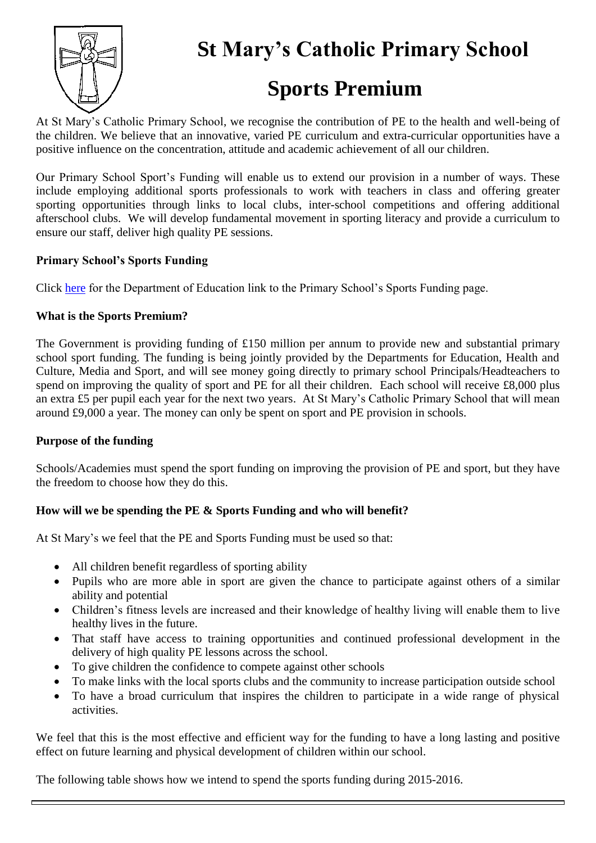

**St Mary's Catholic Primary School**

# **Sports Premium**

At St Mary's Catholic Primary School, we recognise the contribution of PE to the health and well-being of the children. We believe that an innovative, varied PE curriculum and extra-curricular opportunities have a positive influence on the concentration, attitude and academic achievement of all our children.

Our Primary School Sport's Funding will enable us to extend our provision in a number of ways. These include employing additional sports professionals to work with teachers in class and offering greater sporting opportunities through links to local clubs, inter-school competitions and offering additional afterschool clubs. We will develop fundamental movement in sporting literacy and provide a curriculum to ensure our staff, deliver high quality PE sessions.

#### **Primary School's Sports Funding**

Click [here](http://www.education.gov.uk/schools/adminandfinance/financialmanagement/b00222858/primary-school-sport-funding/Primar) for the Department of Education link to the Primary School's Sports Funding page.

#### **What is the Sports Premium?**

The Government is providing funding of £150 million per annum to provide new and substantial primary school sport funding. The funding is being jointly provided by the Departments for Education, Health and Culture, Media and Sport, and will see money going directly to primary school Principals/Headteachers to spend on improving the quality of sport and PE for all their children. Each school will receive £8,000 plus an extra £5 per pupil each year for the next two years. At St Mary's Catholic Primary School that will mean around £9,000 a year. The money can only be spent on sport and PE provision in schools.

# **Purpose of the funding**

Schools/Academies must spend the sport funding on improving the provision of PE and sport, but they have the freedom to choose how they do this.

# **How will we be spending the PE & Sports Funding and who will benefit?**

At St Mary's we feel that the PE and Sports Funding must be used so that:

- All children benefit regardless of sporting ability
- Pupils who are more able in sport are given the chance to participate against others of a similar ability and potential
- Children's fitness levels are increased and their knowledge of healthy living will enable them to live healthy lives in the future.
- That staff have access to training opportunities and continued professional development in the delivery of high quality PE lessons across the school.
- To give children the confidence to compete against other schools
- To make links with the local sports clubs and the community to increase participation outside school
- To have a broad curriculum that inspires the children to participate in a wide range of physical activities.

We feel that this is the most effective and efficient way for the funding to have a long lasting and positive effect on future learning and physical development of children within our school.

The following table shows how we intend to spend the sports funding during 2015-2016.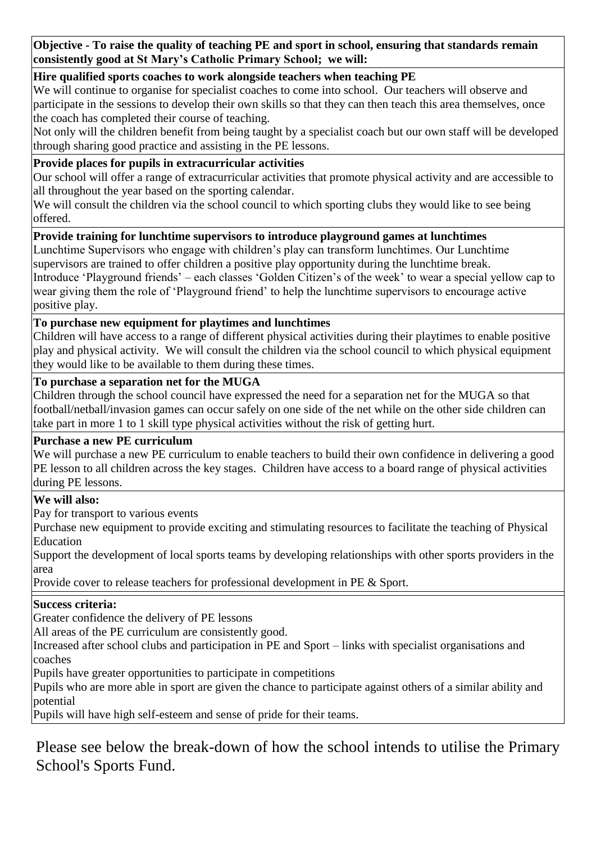**Objective - To raise the quality of teaching PE and sport in school, ensuring that standards remain consistently good at St Mary's Catholic Primary School; we will:**

#### **Hire qualified sports coaches to work alongside teachers when teaching PE**

We will continue to organise for specialist coaches to come into school. Our teachers will observe and participate in the sessions to develop their own skills so that they can then teach this area themselves, once the coach has completed their course of teaching.

Not only will the children benefit from being taught by a specialist coach but our own staff will be developed through sharing good practice and assisting in the PE lessons.

#### **Provide places for pupils in extracurricular activities**

Our school will offer a range of extracurricular activities that promote physical activity and are accessible to all throughout the year based on the sporting calendar.

We will consult the children via the school council to which sporting clubs they would like to see being offered.

# **Provide training for lunchtime supervisors to introduce playground games at lunchtimes**

Lunchtime Supervisors who engage with children's play can transform lunchtimes. Our Lunchtime supervisors are trained to offer children a positive play opportunity during the lunchtime break. Introduce 'Playground friends' – each classes 'Golden Citizen's of the week' to wear a special yellow cap to wear giving them the role of 'Playground friend' to help the lunchtime supervisors to encourage active

positive play.

#### **To purchase new equipment for playtimes and lunchtimes**

Children will have access to a range of different physical activities during their playtimes to enable positive play and physical activity. We will consult the children via the school council to which physical equipment they would like to be available to them during these times.

#### **To purchase a separation net for the MUGA**

Children through the school council have expressed the need for a separation net for the MUGA so that football/netball/invasion games can occur safely on one side of the net while on the other side children can take part in more 1 to 1 skill type physical activities without the risk of getting hurt.

#### **Purchase a new PE curriculum**

We will purchase a new PE curriculum to enable teachers to build their own confidence in delivering a good PE lesson to all children across the key stages. Children have access to a board range of physical activities during PE lessons.

# **We will also:**

Pay for transport to various events

 Purchase new equipment to provide exciting and stimulating resources to facilitate the teaching of Physical Education

 Support the development of local sports teams by developing relationships with other sports providers in the area

Provide cover to release teachers for professional development in PE & Sport.

#### **Success criteria:**

Greater confidence the delivery of PE lessons

All areas of the PE curriculum are consistently good.

 Increased after school clubs and participation in PE and Sport – links with specialist organisations and coaches

Pupils have greater opportunities to participate in competitions

 Pupils who are more able in sport are given the chance to participate against others of a similar ability and potential

Pupils will have high self-esteem and sense of pride for their teams.

Please see below the break-down of how the school intends to utilise the Primary School's Sports Fund.